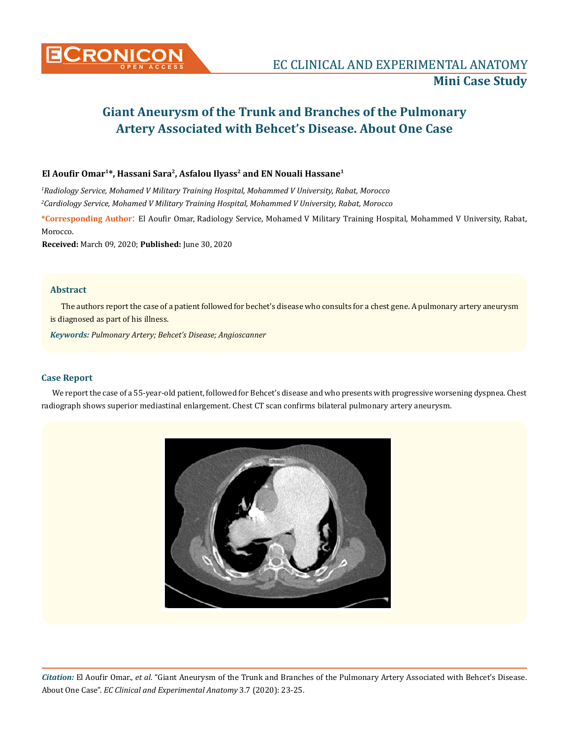

# **Giant Aneurysm of the Trunk and Branches of the Pulmonary Artery Associated with Behcet's Disease. About One Case**

## **El Aoufir Omar1\*, Hassani Sara2, Asfalou Ilyass2 and EN Nouali Hassane1**

*1 Radiology Service, Mohamed V Military Training Hospital, Mohammed V University, Rabat, Morocco 2 Cardiology Service, Mohamed V Military Training Hospital, Mohammed V University, Rabat, Morocco*

**\*Corresponding Author**: El Aoufir Omar, Radiology Service, Mohamed V Military Training Hospital, Mohammed V University, Rabat, Morocco.

**Received:** March 09, 2020; **Published:** June 30, 2020

## **Abstract**

The authors report the case of a patient followed for bechet's disease who consults for a chest gene. A pulmonary artery aneurysm is diagnosed as part of his illness.

*Keywords: Pulmonary Artery; Behcet's Disease; Angioscanner*

### **Case Report**

We report the case of a 55-year-old patient, followed for Behcet's disease and who presents with progressive worsening dyspnea. Chest radiograph shows superior mediastinal enlargement. Chest CT scan confirms bilateral pulmonary artery aneurysm.



*Citation:* El Aoufir Omar., *et al*. "Giant Aneurysm of the Trunk and Branches of the Pulmonary Artery Associated with Behcet's Disease. About One Case". *EC Clinical and Experimental Anatomy* 3.7 (2020): 23-25.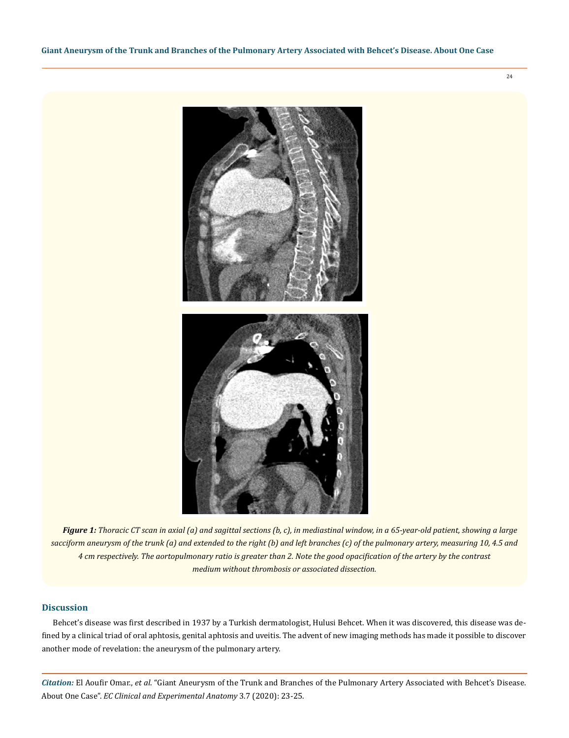24



*Figure 1: Thoracic CT scan in axial (a) and sagittal sections (b, c), in mediastinal window, in a 65-year-old patient, showing a large sacciform aneurysm of the trunk (a) and extended to the right (b) and left branches (c) of the pulmonary artery, measuring 10, 4.5 and 4 cm respectively. The aortopulmonary ratio is greater than 2. Note the good opacification of the artery by the contrast medium without thrombosis or associated dissection.*

#### **Discussion**

Behcet's disease was first described in 1937 by a Turkish dermatologist, Hulusi Behcet. When it was discovered, this disease was defined by a clinical triad of oral aphtosis, genital aphtosis and uveitis. The advent of new imaging methods has made it possible to discover another mode of revelation: the aneurysm of the pulmonary artery.

*Citation:* El Aoufir Omar., *et al*. "Giant Aneurysm of the Trunk and Branches of the Pulmonary Artery Associated with Behcet's Disease. About One Case". *EC Clinical and Experimental Anatomy* 3.7 (2020): 23-25.